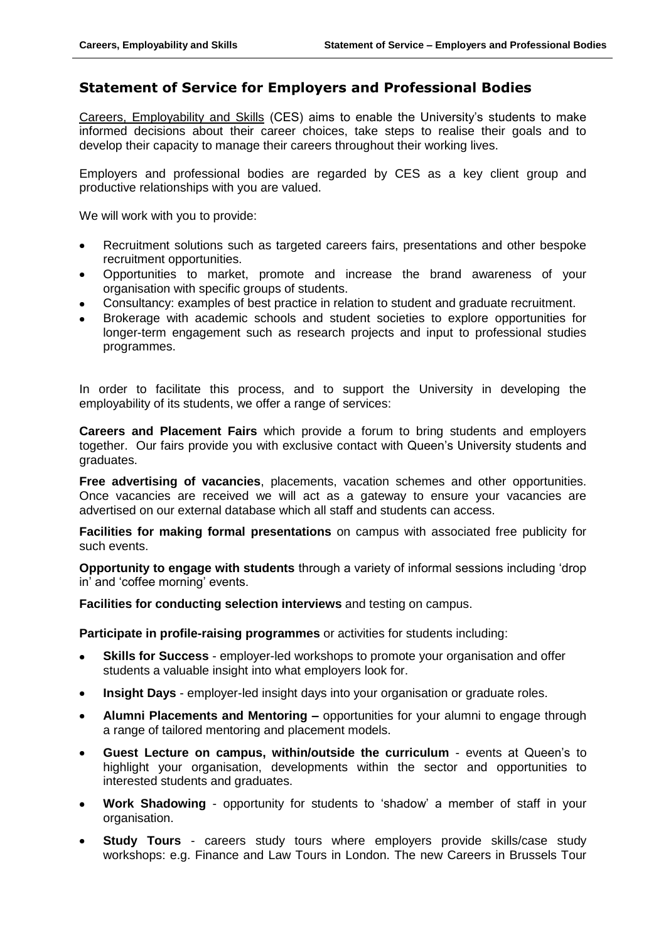## **Statement of Service for Employers and Professional Bodies**

Careers, Employability and Skills (CES) aims to enable the University's students to make informed decisions about their career choices, take steps to realise their goals and to develop their capacity to manage their careers throughout their working lives.

Employers and professional bodies are regarded by CES as a key client group and productive relationships with you are valued.

We will work with you to provide:

- Recruitment solutions such as targeted careers fairs, presentations and other bespoke recruitment opportunities.
- Opportunities to market, promote and increase the brand awareness of your  $\bullet$ organisation with specific groups of students.
- Consultancy: examples of best practice in relation to student and graduate recruitment.
- Brokerage with academic schools and student societies to explore opportunities for longer-term engagement such as research projects and input to professional studies programmes.

In order to facilitate this process, and to support the University in developing the employability of its students, we offer a range of services:

**Careers and Placement Fairs** which provide a forum to bring students and employers together. Our fairs provide you with exclusive contact with Queen's University students and graduates.

**Free advertising of vacancies**, placements, vacation schemes and other opportunities. Once vacancies are received we will act as a gateway to ensure your vacancies are advertised on our external database which all staff and students can access.

**Facilities for making formal presentations** on campus with associated free publicity for such events.

**Opportunity to engage with students** through a variety of informal sessions including 'drop in' and 'coffee morning' events.

**Facilities for conducting selection interviews** and testing on campus.

**Participate in profile-raising programmes** or activities for students including:

- **Skills for Success**  employer-led workshops to promote your organisation and offer students a valuable insight into what employers look for.
- **Insight Days**  employer-led insight days into your organisation or graduate roles.  $\bullet$
- **Alumni Placements and Mentoring –** opportunities for your alumni to engage through  $\bullet$ a range of tailored mentoring and placement models.
- **Guest Lecture on campus, within/outside the curriculum**  events at Queen's to  $\bullet$ highlight your organisation, developments within the sector and opportunities to interested students and graduates.
- **Work Shadowing**  opportunity for students to 'shadow' a member of staff in your  $\bullet$ organisation.
- **Study Tours**  careers study tours where employers provide skills/case study workshops: e.g. Finance and Law Tours in London. The new Careers in Brussels Tour